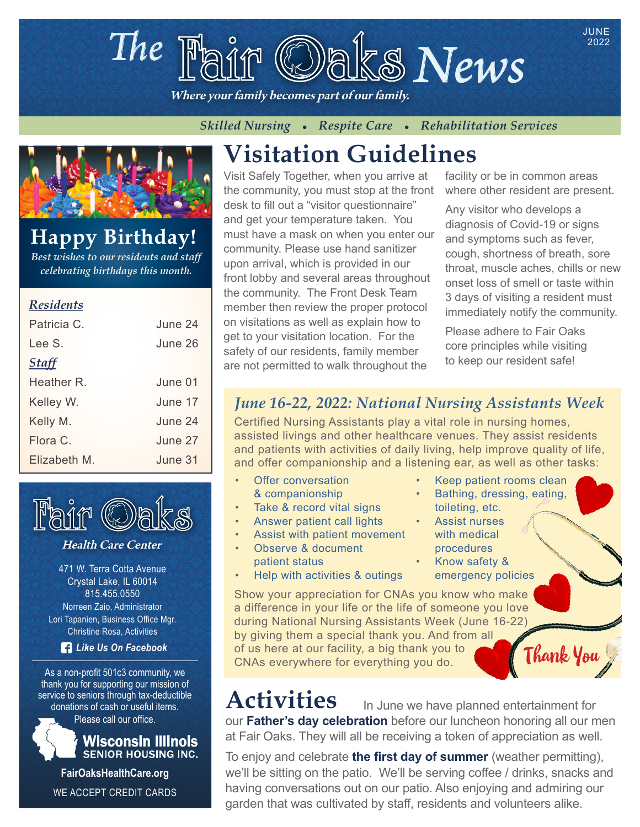# The  $\mathbb{F}_{\text{diff}}$  **Oaks News**

Where your family becomes part of our family.

*Skilled Nursing • Respite Care • Rehabilitation Services* 



# **Happy Birthday!**

*Best wishes to our residents and staff celebrating birthdays this month.*

#### *Residents*

| Patricia C.  | June 24  |
|--------------|----------|
| Lee S.       | June 26  |
| <b>Staff</b> |          |
| Heather R    | June 01. |
| Kelley W.    | June 17  |
| Kelly M.     | June 24  |
| Flora C.     | June 27  |
| Elizabeth M. | June 31. |



#### Health Care Center

471 W. Terra Cotta Avenue Crystal Lake, IL 60014 815.455.0550 Norreen Zaio, Administrator Lori Tapanien, Business Office Mgr. Christine Rosa, Activities

*Like Us On Facebook*

As a non-profit 501c3 community, we thank you for supporting our mission of service to seniors through tax-deductible donations of cash or useful items.

Please call our office.



**FairOaksHealthCare.org** WE ACCEPT CREDIT CARDS

# **Visitation Guidelines**

Visit Safely Together, when you arrive at the community, you must stop at the front desk to fill out a "visitor questionnaire" and get your temperature taken. You must have a mask on when you enter our community. Please use hand sanitizer upon arrival, which is provided in our front lobby and several areas throughout the community. The Front Desk Team member then review the proper protocol on visitations as well as explain how to get to your visitation location. For the safety of our residents, family member are not permitted to walk throughout the

facility or be in common areas where other resident are present.

2022

Any visitor who develops a diagnosis of Covid-19 or signs and symptoms such as fever, cough, shortness of breath, sore throat, muscle aches, chills or new onset loss of smell or taste within 3 days of visiting a resident must immediately notify the community.

Please adhere to Fair Oaks core principles while visiting to keep our resident safe!

#### *June 16-22, 2022: National Nursing Assistants Week*

Certified Nursing Assistants play a vital role in nursing homes, assisted livings and other healthcare venues. They assist residents and patients with activities of daily living, help improve quality of life, and offer companionship and a listening ear, as well as other tasks:

- **Offer conversation** & companionship
- Take & record vital signs
- Answer patient call lights
- Assist with patient movement
- Observe & document patient status
- Help with activities & outings
- Keep patient rooms clean
- Bathing, dressing, eating, toileting, etc.
- Assist nurses with medical procedures
	- Know safety & emergency policies

Show your appreciation for CNAs you know who make a difference in your life or the life of someone you love during National Nursing Assistants Week (June 16-22) by giving them a special thank you. And from all of us here at our facility, a big thank you to of us here at our facility, a big thank you to **Console Thank You** 

# Activities In June we have planned entertainment for

our **Father's day celebration** before our luncheon honoring all our men at Fair Oaks. They will all be receiving a token of appreciation as well.

To enjoy and celebrate **the first day of summer** (weather permitting), we'll be sitting on the patio. We'll be serving coffee / drinks, snacks and having conversations out on our patio. Also enjoying and admiring our garden that was cultivated by staff, residents and volunteers alike.